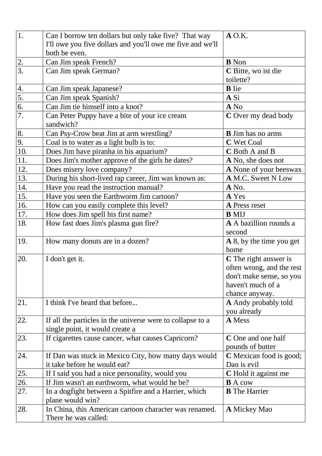| 1.               | Can I borrow ten dollars but only take five? That way                                            | $A$ O.K.                               |
|------------------|--------------------------------------------------------------------------------------------------|----------------------------------------|
|                  | I'll owe you five dollars and you'll owe me five and we'll                                       |                                        |
|                  | both be even.                                                                                    |                                        |
|                  | Can Jim speak French?                                                                            | <b>B</b> Non                           |
| $rac{2}{3}$      | Can Jim speak German?                                                                            | C Bitte, wo ist die                    |
|                  |                                                                                                  | toilette?                              |
| 4.               | Can Jim speak Japanese?                                                                          | <b>B</b> lie                           |
| 5.               | Can Jim speak Spanish?                                                                           | A Si                                   |
| 6.               | Can Jim tie himself into a knot?                                                                 | A No                                   |
| $\overline{7}$ . | Can Peter Puppy have a bite of your ice cream<br>sandwich?                                       | C Over my dead body                    |
| 8.               | Can Psy-Crow beat Jim at arm wrestling?                                                          | <b>B</b> Jim has no arms               |
| 9.               | Coal is to water as a light bulb is to:                                                          | C Wet Coal                             |
| 10.              | Does Jim have piranha in his aquarium?                                                           | C Both A and B                         |
| 11.              | Does Jim's mother approve of the girls he dates?                                                 | A No, she does not                     |
| 12.              | Does misery love company?                                                                        | A None of your beeswax                 |
| 13.              | During his short-lived rap career, Jim was known as:                                             | A M.C. Sweet N Low                     |
| 14.              | Have you read the instruction manual?                                                            | A No.                                  |
| 15.              | Have you seen the Earthworm Jim cartoon?                                                         | A Yes                                  |
| 16.              | How can you easily complete this level?                                                          | A Press reset                          |
| 17.              | How does Jim spell his first name?                                                               | <b>B</b> MIJ                           |
| 18.              | How fast does Jim's plasma gun fire?                                                             | A A bazillion rounds a                 |
|                  |                                                                                                  | second                                 |
| 19.              | How many donuts are in a dozen?                                                                  | A 8, by the time you get               |
|                  |                                                                                                  | home                                   |
| 20.              | I don't get it.                                                                                  | C The right answer is                  |
|                  |                                                                                                  | often wrong, and the rest              |
|                  |                                                                                                  | don't make sense, so you               |
|                  |                                                                                                  | haven't much of a                      |
|                  |                                                                                                  | chance anyway.                         |
| 21.              | I think I've heard that before                                                                   | <b>A</b> Andy probably told            |
| 22.              |                                                                                                  | you already<br>A Mess                  |
|                  | If all the particles in the universe were to collapse to a                                       |                                        |
| 23.              | single point, it would create a<br>If cigarettes cause cancer, what causes Capricorn?            | <b>C</b> One and one half              |
|                  |                                                                                                  | pounds of butter                       |
| 24.              | If Dan was stuck in Mexico City, how many days would                                             | <b>C</b> Mexican food is good;         |
|                  | it take before he would eat?                                                                     | Dan is evil                            |
|                  |                                                                                                  |                                        |
| 25.<br>26.       | If I said you had a nice personality, would you<br>If Jim wasn't an earthworm, what would he be? | C Hold it against me<br><b>B</b> A cow |
| 27.              |                                                                                                  | <b>B</b> The Harrier                   |
|                  | In a dogfight between a Spitfire and a Harrier, which<br>plane would win?                        |                                        |
| 28.              | In China, this American cartoon character was renamed.                                           | <b>A</b> Mickey Mao                    |
|                  | There he was called:                                                                             |                                        |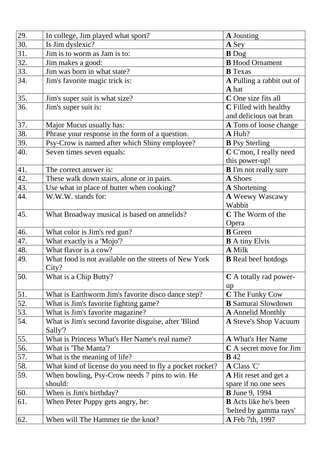| 29. | In college, Jim played what sport?                       | <b>A</b> Jousting            |
|-----|----------------------------------------------------------|------------------------------|
| 30. | Is Jim dyslexic?                                         | A Sey                        |
| 31. | Jim is to worm as Jam is to:                             | <b>B</b> Dog                 |
| 32. | Jim makes a good:                                        | <b>B</b> Hood Ornament       |
| 33. | Jim was born in what state?                              | <b>B</b> Texas               |
| 34. | Jim's favorite magic trick is:                           | A Pulling a rabbit out of    |
|     |                                                          | A hat                        |
| 35. | Jim's super suit is what size?                           | C One size fits all          |
| 36. | Jim's super suit is:                                     | C Filled with healthy        |
|     |                                                          | and delicious oat bran       |
| 37. | Major Mucus usually has:                                 | A Tons of loose change       |
| 38. | Phrase your response in the form of a question.          | A Huh?                       |
| 39. | Psy-Crow is named after which Shiny employee?            | <b>B</b> Psy Sterling        |
| 40. | Seven times seven equals:                                | C C'mon, I really need       |
|     |                                                          | this power-up!               |
| 41. | The correct answer is:                                   | <b>B</b> I'm not really sure |
| 42. | These walk down stairs, alone or in pairs.               | A Shoes                      |
| 43. | Use what in place of butter when cooking?                | <b>A</b> Shortening          |
| 44. | W.W.W. stands for:                                       | A Weewy Wascawy              |
|     |                                                          | Wabbit                       |
| 45. | What Broadway musical is based on annelids?              | C The Worm of the            |
|     |                                                          | Opera                        |
| 46. | What color is Jim's red gun?                             | <b>B</b> Green               |
| 47. | What exactly is a 'Mojo'?                                | <b>B</b> A tiny Elvis        |
| 48. | What flavor is a cow?                                    | A Milk                       |
| 49. | What food is not available on the streets of New York    | <b>B</b> Real beef hotdogs   |
|     | City?                                                    |                              |
| 50. | What is a Chip Butty?                                    | C A totally rad power-       |
|     |                                                          | up                           |
| 51. | What is Earthworm Jim's favorite disco dance step?       | C The Funky Cow              |
| 52. | What is Jim's favorite fighting game?                    | <b>B</b> Samurai Slowdown    |
| 53. | What is Jim's favorite magazine?                         | <b>A</b> Annelid Monthly     |
| 54. | What is Jim's second favorite disguise, after 'Blind     | <b>A Steve's Shop Vacuum</b> |
|     | Sally'?                                                  |                              |
| 55. | What is Princess What's Her Name's real name?            | <b>A What's Her Name</b>     |
| 56. | What is 'The Manta'?                                     | C A secret move for Jim      |
| 57. | What is the meaning of life?                             | <b>B</b> 42                  |
| 58. | What kind of license do you need to fly a pocket rocket? | A Class 'C'                  |
| 59. | When bowling, Psy-Crow needs 7 pins to win. He           | <b>A</b> Hit reset and get a |
|     | should:                                                  | spare if no one sees         |
| 60. | When is Jim's birthday?                                  | <b>B</b> June 9, 1994        |
| 61. | When Peter Puppy gets angry, he:                         | <b>B</b> Acts like he's been |
|     |                                                          | 'belted by gamma rays'       |
| 62. | When will The Hammer tie the knot?                       | <b>A</b> Feb 7th, 1997       |